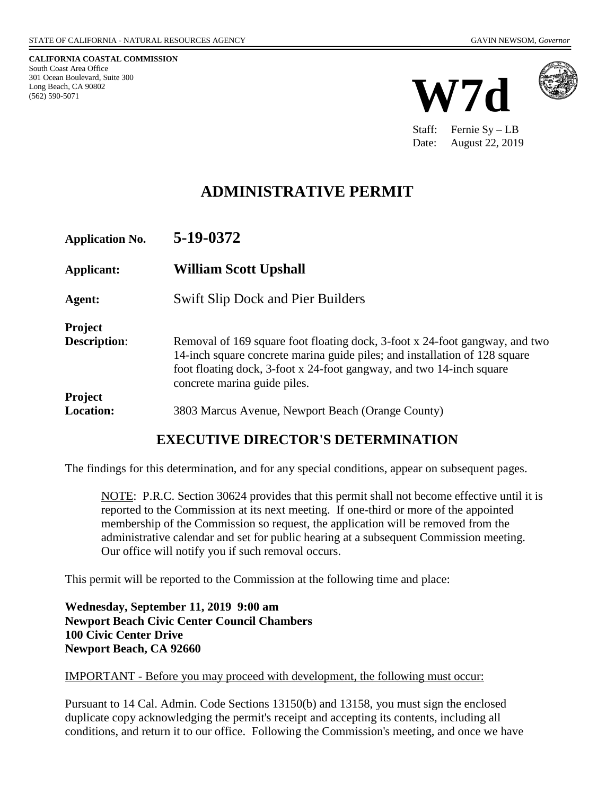**CALIFORNIA COASTAL COMMISSION** South Coast Area Office 301 Ocean Boulevard, Suite 300 Long Beach, CA 90802 (562) 590-5071





Staff: Fernie Sy – LB Date: August 22, 2019

# **ADMINISTRATIVE PERMIT**

| <b>Application No.</b>                | 5-19-0372                                                                                                                                                                                                                                                         |
|---------------------------------------|-------------------------------------------------------------------------------------------------------------------------------------------------------------------------------------------------------------------------------------------------------------------|
| Applicant:                            | <b>William Scott Upshall</b>                                                                                                                                                                                                                                      |
| Agent:                                | <b>Swift Slip Dock and Pier Builders</b>                                                                                                                                                                                                                          |
| <b>Project</b><br><b>Description:</b> | Removal of 169 square foot floating dock, 3-foot x 24-foot gangway, and two<br>14-inch square concrete marina guide piles; and installation of 128 square<br>foot floating dock, 3-foot x 24-foot gangway, and two 14-inch square<br>concrete marina guide piles. |
| <b>Project</b><br><b>Location:</b>    | 3803 Marcus Avenue, Newport Beach (Orange County)                                                                                                                                                                                                                 |

## **EXECUTIVE DIRECTOR'S DETERMINATION**

The findings for this determination, and for any special conditions, appear on subsequent pages.

NOTE: P.R.C. Section 30624 provides that this permit shall not become effective until it is reported to the Commission at its next meeting. If one-third or more of the appointed membership of the Commission so request, the application will be removed from the administrative calendar and set for public hearing at a subsequent Commission meeting. Our office will notify you if such removal occurs.

This permit will be reported to the Commission at the following time and place:

**Wednesday, September 11, 2019 9:00 am Newport Beach Civic Center Council Chambers 100 Civic Center Drive Newport Beach, CA 92660**

#### IMPORTANT - Before you may proceed with development, the following must occur:

Pursuant to 14 Cal. Admin. Code Sections 13150(b) and 13158, you must sign the enclosed duplicate copy acknowledging the permit's receipt and accepting its contents, including all conditions, and return it to our office. Following the Commission's meeting, and once we have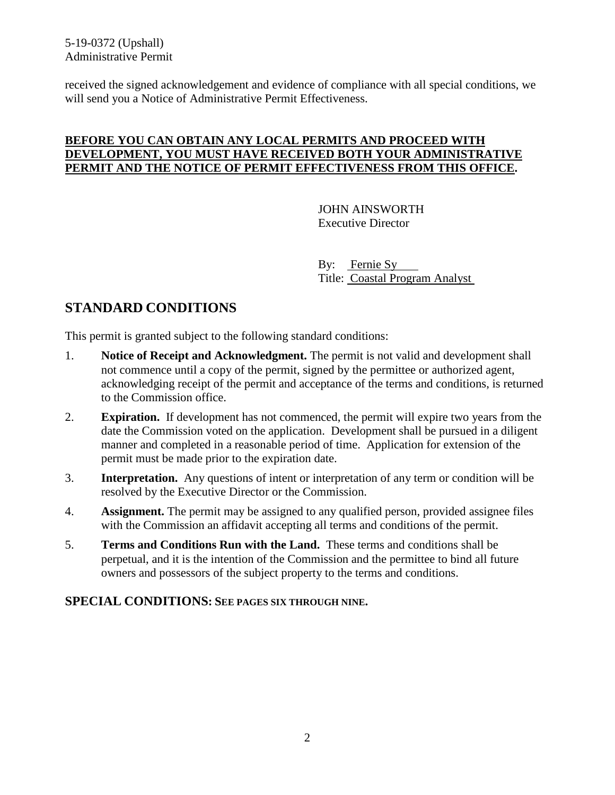5-19-0372 (Upshall) Administrative Permit

received the signed acknowledgement and evidence of compliance with all special conditions, we will send you a Notice of Administrative Permit Effectiveness.

### **BEFORE YOU CAN OBTAIN ANY LOCAL PERMITS AND PROCEED WITH DEVELOPMENT, YOU MUST HAVE RECEIVED BOTH YOUR ADMINISTRATIVE PERMIT AND THE NOTICE OF PERMIT EFFECTIVENESS FROM THIS OFFICE.**

JOHN AINSWORTH Executive Director

By: Fernie Sy Title: Coastal Program Analyst

# **STANDARD CONDITIONS**

This permit is granted subject to the following standard conditions:

- 1. **Notice of Receipt and Acknowledgment.** The permit is not valid and development shall not commence until a copy of the permit, signed by the permittee or authorized agent, acknowledging receipt of the permit and acceptance of the terms and conditions, is returned to the Commission office.
- 2. **Expiration.** If development has not commenced, the permit will expire two years from the date the Commission voted on the application. Development shall be pursued in a diligent manner and completed in a reasonable period of time. Application for extension of the permit must be made prior to the expiration date.
- 3. **Interpretation.** Any questions of intent or interpretation of any term or condition will be resolved by the Executive Director or the Commission.
- 4. **Assignment.** The permit may be assigned to any qualified person, provided assignee files with the Commission an affidavit accepting all terms and conditions of the permit.
- 5. **Terms and Conditions Run with the Land.** These terms and conditions shall be perpetual, and it is the intention of the Commission and the permittee to bind all future owners and possessors of the subject property to the terms and conditions.

#### **SPECIAL CONDITIONS: SEE PAGES SIX THROUGH NINE.**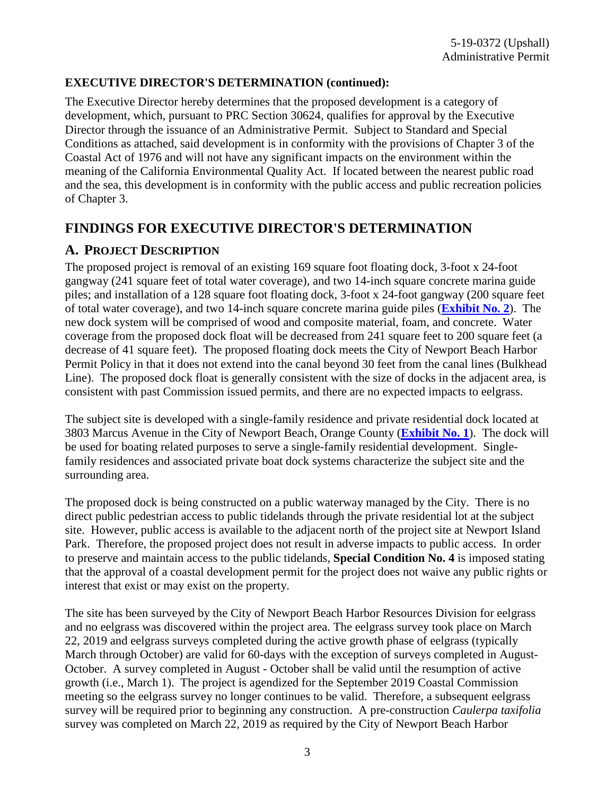### **EXECUTIVE DIRECTOR'S DETERMINATION (continued):**

The Executive Director hereby determines that the proposed development is a category of development, which, pursuant to PRC Section 30624, qualifies for approval by the Executive Director through the issuance of an Administrative Permit. Subject to Standard and Special Conditions as attached, said development is in conformity with the provisions of Chapter 3 of the Coastal Act of 1976 and will not have any significant impacts on the environment within the meaning of the California Environmental Quality Act. If located between the nearest public road and the sea, this development is in conformity with the public access and public recreation policies of Chapter 3.

## **FINDINGS FOR EXECUTIVE DIRECTOR'S DETERMINATION**

### **A. PROJECT DESCRIPTION**

The proposed project is removal of an existing 169 square foot floating dock, 3-foot x 24-foot gangway (241 square feet of total water coverage), and two 14-inch square concrete marina guide piles; and installation of a 128 square foot floating dock, 3-foot x 24-foot gangway (200 square feet of total water coverage), and two 14-inch square concrete marina guide piles (**[Exhibit No. 2](https://documents.coastal.ca.gov/reports/2019/9/W7d/W7d-9-2019-report.pdf)**). The new dock system will be comprised of wood and composite material, foam, and concrete. Water coverage from the proposed dock float will be decreased from 241 square feet to 200 square feet (a decrease of 41 square feet). The proposed floating dock meets the City of Newport Beach Harbor Permit Policy in that it does not extend into the canal beyond 30 feet from the canal lines (Bulkhead Line). The proposed dock float is generally consistent with the size of docks in the adjacent area, is consistent with past Commission issued permits, and there are no expected impacts to eelgrass.

The subject site is developed with a single-family residence and private residential dock located at 3803 Marcus Avenue in the City of Newport Beach, Orange County (**[Exhibit No. 1](https://documents.coastal.ca.gov/reports/2019/9/W7d/W7d-9-2019-report.pdf)**). The dock will be used for boating related purposes to serve a single-family residential development. Singlefamily residences and associated private boat dock systems characterize the subject site and the surrounding area.

The proposed dock is being constructed on a public waterway managed by the City. There is no direct public pedestrian access to public tidelands through the private residential lot at the subject site. However, public access is available to the adjacent north of the project site at Newport Island Park. Therefore, the proposed project does not result in adverse impacts to public access. In order to preserve and maintain access to the public tidelands, **Special Condition No. 4** is imposed stating that the approval of a coastal development permit for the project does not waive any public rights or interest that exist or may exist on the property.

The site has been surveyed by the City of Newport Beach Harbor Resources Division for eelgrass and no eelgrass was discovered within the project area. The eelgrass survey took place on March 22, 2019 and eelgrass surveys completed during the active growth phase of eelgrass (typically March through October) are valid for 60-days with the exception of surveys completed in August-October. A survey completed in August - October shall be valid until the resumption of active growth (i.e., March 1). The project is agendized for the September 2019 Coastal Commission meeting so the eelgrass survey no longer continues to be valid. Therefore, a subsequent eelgrass survey will be required prior to beginning any construction. A pre-construction *Caulerpa taxifolia* survey was completed on March 22, 2019 as required by the City of Newport Beach Harbor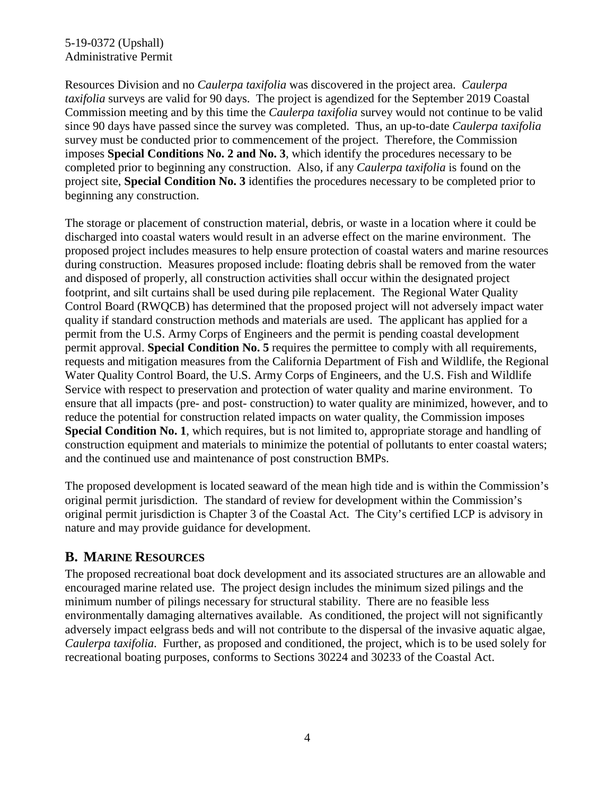### 5-19-0372 (Upshall) Administrative Permit

Resources Division and no *Caulerpa taxifolia* was discovered in the project area. *Caulerpa taxifolia* surveys are valid for 90 days. The project is agendized for the September 2019 Coastal Commission meeting and by this time the *Caulerpa taxifolia* survey would not continue to be valid since 90 days have passed since the survey was completed. Thus, an up-to-date *Caulerpa taxifolia* survey must be conducted prior to commencement of the project. Therefore, the Commission imposes **Special Conditions No. 2 and No. 3**, which identify the procedures necessary to be completed prior to beginning any construction. Also, if any *Caulerpa taxifolia* is found on the project site, **Special Condition No. 3** identifies the procedures necessary to be completed prior to beginning any construction.

The storage or placement of construction material, debris, or waste in a location where it could be discharged into coastal waters would result in an adverse effect on the marine environment. The proposed project includes measures to help ensure protection of coastal waters and marine resources during construction. Measures proposed include: floating debris shall be removed from the water and disposed of properly, all construction activities shall occur within the designated project footprint, and silt curtains shall be used during pile replacement. The Regional Water Quality Control Board (RWQCB) has determined that the proposed project will not adversely impact water quality if standard construction methods and materials are used. The applicant has applied for a permit from the U.S. Army Corps of Engineers and the permit is pending coastal development permit approval. **Special Condition No. 5** requires the permittee to comply with all requirements, requests and mitigation measures from the California Department of Fish and Wildlife, the Regional Water Quality Control Board, the U.S. Army Corps of Engineers, and the U.S. Fish and Wildlife Service with respect to preservation and protection of water quality and marine environment. To ensure that all impacts (pre- and post- construction) to water quality are minimized, however, and to reduce the potential for construction related impacts on water quality, the Commission imposes **Special Condition No. 1**, which requires, but is not limited to, appropriate storage and handling of construction equipment and materials to minimize the potential of pollutants to enter coastal waters; and the continued use and maintenance of post construction BMPs.

The proposed development is located seaward of the mean high tide and is within the Commission's original permit jurisdiction. The standard of review for development within the Commission's original permit jurisdiction is Chapter 3 of the Coastal Act. The City's certified LCP is advisory in nature and may provide guidance for development.

## **B. MARINE RESOURCES**

The proposed recreational boat dock development and its associated structures are an allowable and encouraged marine related use. The project design includes the minimum sized pilings and the minimum number of pilings necessary for structural stability. There are no feasible less environmentally damaging alternatives available. As conditioned, the project will not significantly adversely impact eelgrass beds and will not contribute to the dispersal of the invasive aquatic algae, *Caulerpa taxifolia*. Further, as proposed and conditioned, the project, which is to be used solely for recreational boating purposes, conforms to Sections 30224 and 30233 of the Coastal Act.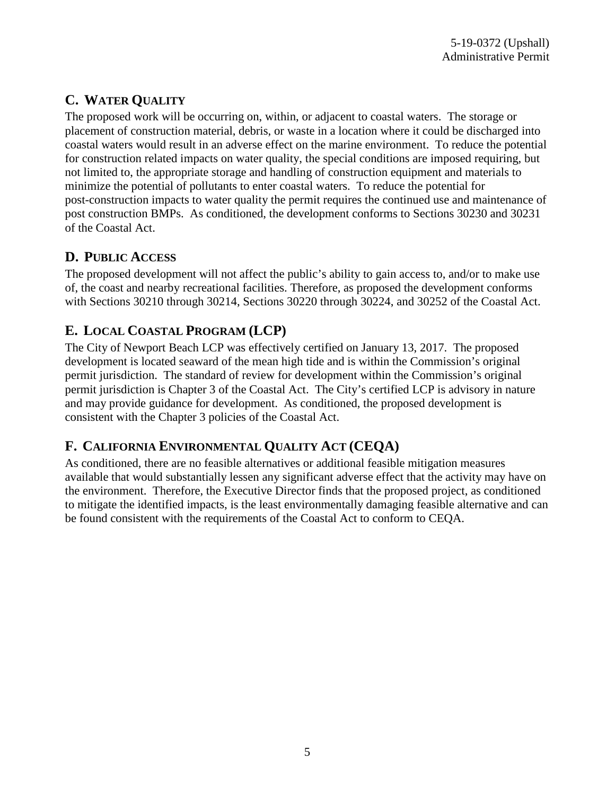# **C. WATER QUALITY**

The proposed work will be occurring on, within, or adjacent to coastal waters. The storage or placement of construction material, debris, or waste in a location where it could be discharged into coastal waters would result in an adverse effect on the marine environment. To reduce the potential for construction related impacts on water quality, the special conditions are imposed requiring, but not limited to, the appropriate storage and handling of construction equipment and materials to minimize the potential of pollutants to enter coastal waters. To reduce the potential for post-construction impacts to water quality the permit requires the continued use and maintenance of post construction BMPs. As conditioned, the development conforms to Sections 30230 and 30231 of the Coastal Act.

# **D. PUBLIC ACCESS**

The proposed development will not affect the public's ability to gain access to, and/or to make use of, the coast and nearby recreational facilities. Therefore, as proposed the development conforms with Sections 30210 through 30214, Sections 30220 through 30224, and 30252 of the Coastal Act.

# **E. LOCAL COASTAL PROGRAM (LCP)**

The City of Newport Beach LCP was effectively certified on January 13, 2017. The proposed development is located seaward of the mean high tide and is within the Commission's original permit jurisdiction. The standard of review for development within the Commission's original permit jurisdiction is Chapter 3 of the Coastal Act. The City's certified LCP is advisory in nature and may provide guidance for development. As conditioned, the proposed development is consistent with the Chapter 3 policies of the Coastal Act.

# **F. CALIFORNIA ENVIRONMENTAL QUALITY ACT (CEQA)**

As conditioned, there are no feasible alternatives or additional feasible mitigation measures available that would substantially lessen any significant adverse effect that the activity may have on the environment. Therefore, the Executive Director finds that the proposed project, as conditioned to mitigate the identified impacts, is the least environmentally damaging feasible alternative and can be found consistent with the requirements of the Coastal Act to conform to CEQA.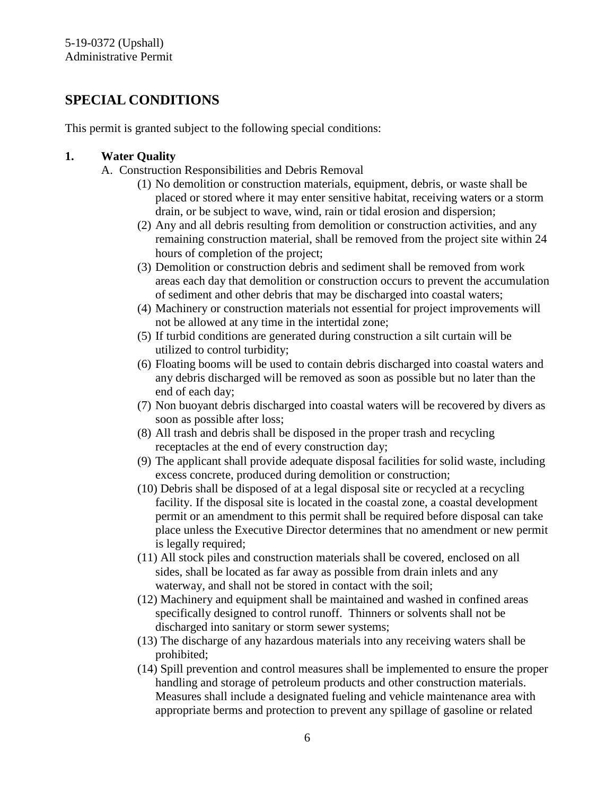## **SPECIAL CONDITIONS**

This permit is granted subject to the following special conditions:

### **1. Water Quality**

- A. Construction Responsibilities and Debris Removal
	- (1) No demolition or construction materials, equipment, debris, or waste shall be placed or stored where it may enter sensitive habitat, receiving waters or a storm drain, or be subject to wave, wind, rain or tidal erosion and dispersion;
	- (2) Any and all debris resulting from demolition or construction activities, and any remaining construction material, shall be removed from the project site within 24 hours of completion of the project;
	- (3) Demolition or construction debris and sediment shall be removed from work areas each day that demolition or construction occurs to prevent the accumulation of sediment and other debris that may be discharged into coastal waters;
	- (4) Machinery or construction materials not essential for project improvements will not be allowed at any time in the intertidal zone;
	- (5) If turbid conditions are generated during construction a silt curtain will be utilized to control turbidity;
	- (6) Floating booms will be used to contain debris discharged into coastal waters and any debris discharged will be removed as soon as possible but no later than the end of each day;
	- (7) Non buoyant debris discharged into coastal waters will be recovered by divers as soon as possible after loss;
	- (8) All trash and debris shall be disposed in the proper trash and recycling receptacles at the end of every construction day;
	- (9) The applicant shall provide adequate disposal facilities for solid waste, including excess concrete, produced during demolition or construction;
	- (10) Debris shall be disposed of at a legal disposal site or recycled at a recycling facility. If the disposal site is located in the coastal zone, a coastal development permit or an amendment to this permit shall be required before disposal can take place unless the Executive Director determines that no amendment or new permit is legally required;
	- (11) All stock piles and construction materials shall be covered, enclosed on all sides, shall be located as far away as possible from drain inlets and any waterway, and shall not be stored in contact with the soil;
	- (12) Machinery and equipment shall be maintained and washed in confined areas specifically designed to control runoff. Thinners or solvents shall not be discharged into sanitary or storm sewer systems;
	- (13) The discharge of any hazardous materials into any receiving waters shall be prohibited;
	- (14) Spill prevention and control measures shall be implemented to ensure the proper handling and storage of petroleum products and other construction materials. Measures shall include a designated fueling and vehicle maintenance area with appropriate berms and protection to prevent any spillage of gasoline or related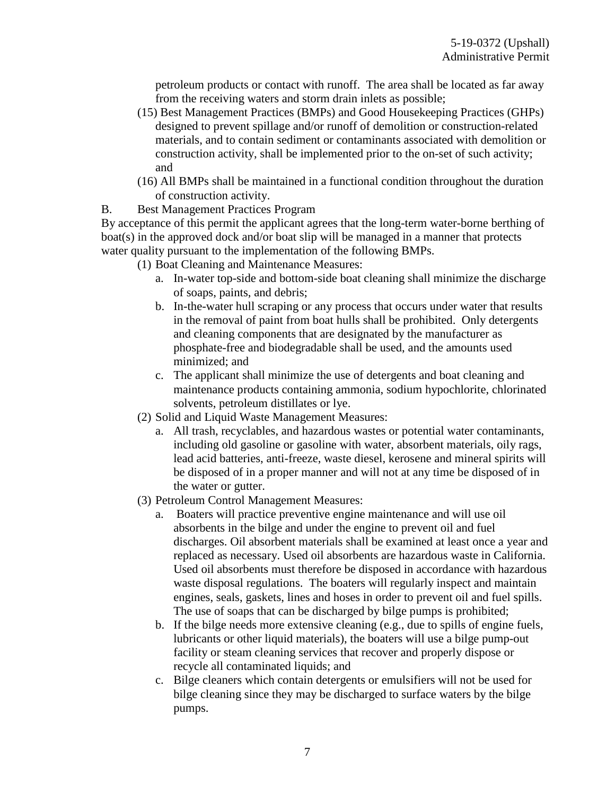petroleum products or contact with runoff. The area shall be located as far away from the receiving waters and storm drain inlets as possible;

- (15) Best Management Practices (BMPs) and Good Housekeeping Practices (GHPs) designed to prevent spillage and/or runoff of demolition or construction-related materials, and to contain sediment or contaminants associated with demolition or construction activity, shall be implemented prior to the on-set of such activity; and
- (16) All BMPs shall be maintained in a functional condition throughout the duration of construction activity.
- B. Best Management Practices Program

By acceptance of this permit the applicant agrees that the long-term water-borne berthing of boat(s) in the approved dock and/or boat slip will be managed in a manner that protects water quality pursuant to the implementation of the following BMPs.

- (1) Boat Cleaning and Maintenance Measures:
	- a. In-water top-side and bottom-side boat cleaning shall minimize the discharge of soaps, paints, and debris;
	- b. In-the-water hull scraping or any process that occurs under water that results in the removal of paint from boat hulls shall be prohibited. Only detergents and cleaning components that are designated by the manufacturer as phosphate-free and biodegradable shall be used, and the amounts used minimized; and
	- c. The applicant shall minimize the use of detergents and boat cleaning and maintenance products containing ammonia, sodium hypochlorite, chlorinated solvents, petroleum distillates or lye.
- (2) Solid and Liquid Waste Management Measures:
	- a. All trash, recyclables, and hazardous wastes or potential water contaminants, including old gasoline or gasoline with water, absorbent materials, oily rags, lead acid batteries, anti-freeze, waste diesel, kerosene and mineral spirits will be disposed of in a proper manner and will not at any time be disposed of in the water or gutter.
- (3) Petroleum Control Management Measures:
	- a. Boaters will practice preventive engine maintenance and will use oil absorbents in the bilge and under the engine to prevent oil and fuel discharges. Oil absorbent materials shall be examined at least once a year and replaced as necessary. Used oil absorbents are hazardous waste in California. Used oil absorbents must therefore be disposed in accordance with hazardous waste disposal regulations. The boaters will regularly inspect and maintain engines, seals, gaskets, lines and hoses in order to prevent oil and fuel spills. The use of soaps that can be discharged by bilge pumps is prohibited;
	- b. If the bilge needs more extensive cleaning (e.g., due to spills of engine fuels, lubricants or other liquid materials), the boaters will use a bilge pump-out facility or steam cleaning services that recover and properly dispose or recycle all contaminated liquids; and
	- c. Bilge cleaners which contain detergents or emulsifiers will not be used for bilge cleaning since they may be discharged to surface waters by the bilge pumps.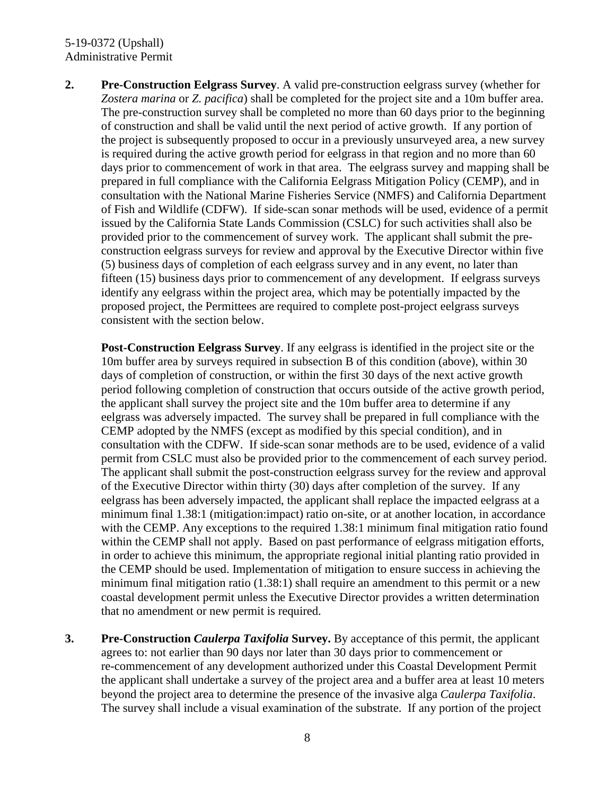#### 5-19-0372 (Upshall) Administrative Permit

**2. Pre-Construction Eelgrass Survey**. A valid pre-construction eelgrass survey (whether for *Zostera marina* or *Z. pacifica*) shall be completed for the project site and a 10m buffer area. The pre-construction survey shall be completed no more than 60 days prior to the beginning of construction and shall be valid until the next period of active growth. If any portion of the project is subsequently proposed to occur in a previously unsurveyed area, a new survey is required during the active growth period for eelgrass in that region and no more than 60 days prior to commencement of work in that area. The eelgrass survey and mapping shall be prepared in full compliance with the California Eelgrass Mitigation Policy (CEMP), and in consultation with the National Marine Fisheries Service (NMFS) and California Department of Fish and Wildlife (CDFW). If side-scan sonar methods will be used, evidence of a permit issued by the California State Lands Commission (CSLC) for such activities shall also be provided prior to the commencement of survey work. The applicant shall submit the preconstruction eelgrass surveys for review and approval by the Executive Director within five (5) business days of completion of each eelgrass survey and in any event, no later than fifteen (15) business days prior to commencement of any development. If eelgrass surveys identify any eelgrass within the project area, which may be potentially impacted by the proposed project, the Permittees are required to complete post-project eelgrass surveys consistent with the section below.

**Post-Construction Eelgrass Survey**. If any eelgrass is identified in the project site or the 10m buffer area by surveys required in subsection B of this condition (above), within 30 days of completion of construction, or within the first 30 days of the next active growth period following completion of construction that occurs outside of the active growth period, the applicant shall survey the project site and the 10m buffer area to determine if any eelgrass was adversely impacted. The survey shall be prepared in full compliance with the CEMP adopted by the NMFS (except as modified by this special condition), and in consultation with the CDFW. If side-scan sonar methods are to be used, evidence of a valid permit from CSLC must also be provided prior to the commencement of each survey period. The applicant shall submit the post-construction eelgrass survey for the review and approval of the Executive Director within thirty (30) days after completion of the survey. If any eelgrass has been adversely impacted, the applicant shall replace the impacted eelgrass at a minimum final 1.38:1 (mitigation:impact) ratio on-site, or at another location, in accordance with the CEMP. Any exceptions to the required 1.38:1 minimum final mitigation ratio found within the CEMP shall not apply. Based on past performance of eelgrass mitigation efforts, in order to achieve this minimum, the appropriate regional initial planting ratio provided in the CEMP should be used. Implementation of mitigation to ensure success in achieving the minimum final mitigation ratio (1.38:1) shall require an amendment to this permit or a new coastal development permit unless the Executive Director provides a written determination that no amendment or new permit is required.

**3. Pre-Construction** *Caulerpa Taxifolia* **Survey.** By acceptance of this permit, the applicant agrees to: not earlier than 90 days nor later than 30 days prior to commencement or re-commencement of any development authorized under this Coastal Development Permit the applicant shall undertake a survey of the project area and a buffer area at least 10 meters beyond the project area to determine the presence of the invasive alga *Caulerpa Taxifolia*. The survey shall include a visual examination of the substrate. If any portion of the project